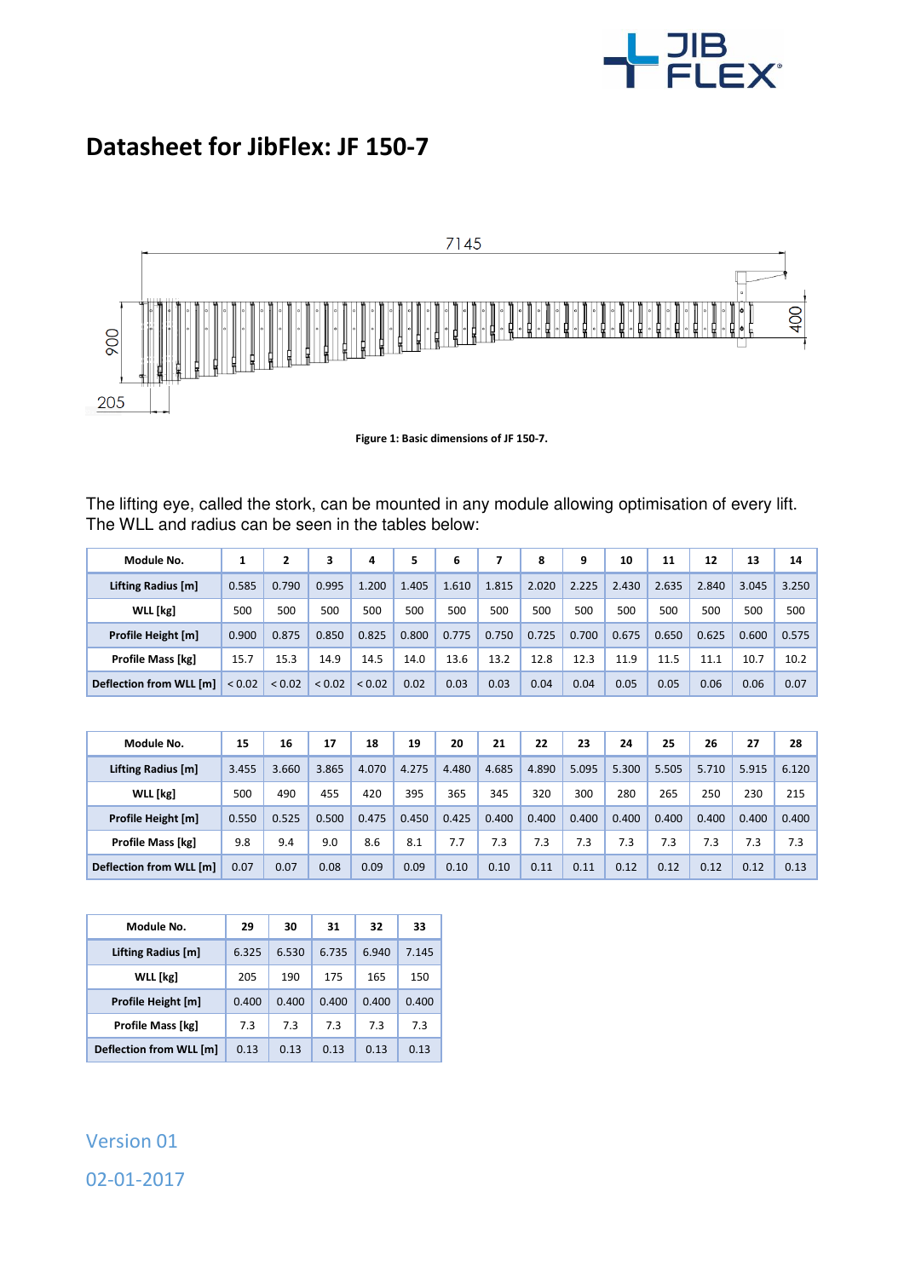

## **Datasheet for JibFlex: JF 150-7**



**Figure 1: Basic dimensions of JF 150-7.** 

The lifting eye, called the stork, can be mounted in any module allowing optimisation of every lift. The WLL and radius can be seen in the tables below:

| Module No.               |             | 2      | з           | 4      | 5     | 6     | 7     | 8     | 9     | 10    | 11    | 12    | 13    | 14    |
|--------------------------|-------------|--------|-------------|--------|-------|-------|-------|-------|-------|-------|-------|-------|-------|-------|
| Lifting Radius [m]       | 0.585       | 0.790  | 0.995       | 1.200  | 1.405 | 1.610 | 1.815 | 2.020 | 2.225 | 2.430 | 2.635 | 2.840 | 3.045 | 3.250 |
| WLL [kg]                 | 500         | 500    | 500         | 500    | 500   | 500   | 500   | 500   | 500   | 500   | 500   | 500   | 500   | 500   |
| Profile Height [m]       | 0.900       | 0.875  | 0.850       | 0.825  | 0.800 | 0.775 | 0.750 | 0.725 | 0.700 | 0.675 | 0.650 | 0.625 | 0.600 | 0.575 |
| <b>Profile Mass [kg]</b> | 15.7        | 15.3   | 14.9        | 14.5   | 14.0  | 13.6  | 13.2  | 12.8  | 12.3  | 11.9  | 11.5  | 11.1  | 10.7  | 10.2  |
| Deflection from WLL [m]  | ${}_{0.02}$ | < 0.02 | ${}_{0.02}$ | < 0.02 | 0.02  | 0.03  | 0.03  | 0.04  | 0.04  | 0.05  | 0.05  | 0.06  | 0.06  | 0.07  |

| Module No.               | 15    | 16    | 17    | 18    | 19    | 20    | 21    | 22    | 23    | 24    | 25    | 26    | 27    | 28    |
|--------------------------|-------|-------|-------|-------|-------|-------|-------|-------|-------|-------|-------|-------|-------|-------|
| Lifting Radius [m]       | 3.455 | 3.660 | 3.865 | 4.070 | 4.275 | 4.480 | 4.685 | 4.890 | 5.095 | 5.300 | 5.505 | 5.710 | 5.915 | 6.120 |
| <b>WLL</b> [kg]          | 500   | 490   | 455   | 420   | 395   | 365   | 345   | 320   | 300   | 280   | 265   | 250   | 230   | 215   |
| Profile Height [m]       | 0.550 | 0.525 | 0.500 | 0.475 | 0.450 | 0.425 | 0.400 | 0.400 | 0.400 | 0.400 | 0.400 | 0.400 | 0.400 | 0.400 |
| <b>Profile Mass [kg]</b> | 9.8   | 9.4   | 9.0   | 8.6   | 8.1   | 7.7   | 7.3   | 7.3   | 7.3   | 7.3   | 7.3   | 7.3   | 7.3   | 7.3   |
| Deflection from WLL [m]  | 0.07  | 0.07  | 0.08  | 0.09  | 0.09  | 0.10  | 0.10  | 0.11  | 0.11  | 0.12  | 0.12  | 0.12  | 0.12  | 0.13  |

| Module No.               | 29    | 30    | 31    | 32    | 33    |  |
|--------------------------|-------|-------|-------|-------|-------|--|
| Lifting Radius [m]       | 6.325 | 6.530 | 6.735 | 6.940 | 7.145 |  |
| WLL [kg]                 | 205   | 190   | 175   | 165   | 150   |  |
| Profile Height [m]       | 0.400 | 0.400 | 0.400 | 0.400 | 0.400 |  |
| <b>Profile Mass [kg]</b> | 7.3   | 7.3   | 7.3   | 7.3   | 7.3   |  |
| Deflection from WLL [m]  | 0.13  | 0.13  | 0.13  | 0.13  | 0.13  |  |

## Version 01 02-01-2017